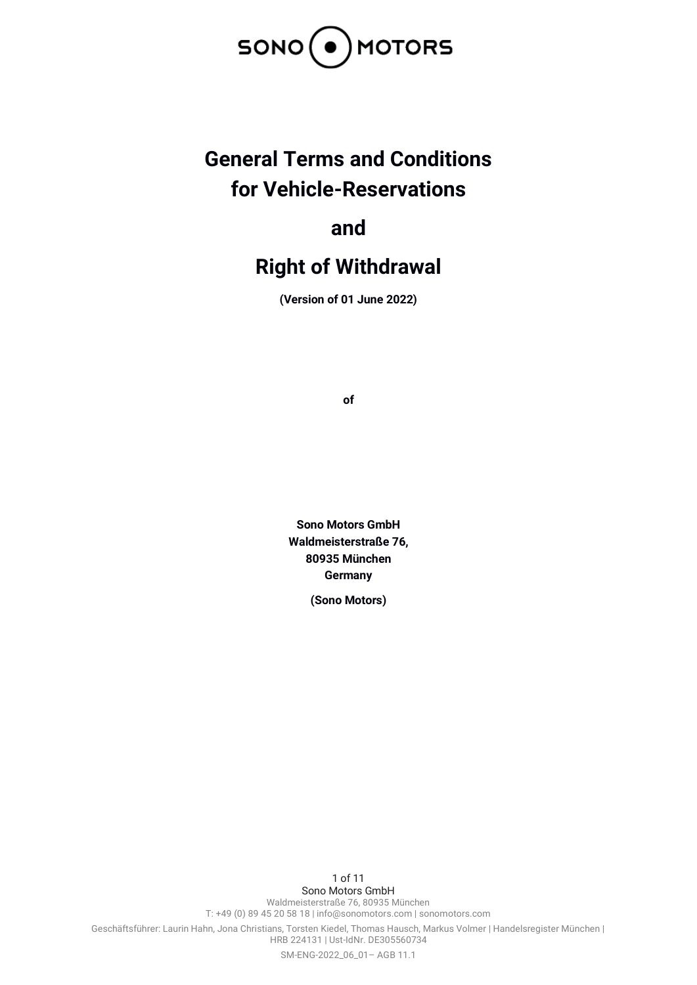

# **General Terms and Conditions for Vehicle-Reservations**

**and**

# **Right of Withdrawal**

**(Version of 01 June 2022)**

**of**

**Sono Motors GmbH Waldmeisterstraße 76, 80935 München Germany**

**(Sono Motors)**

1 of 11 Sono Motors GmbH Waldmeisterstraße 76, 80935 München T: +49 (0) 89 45 20 58 18 | info@sonomotors.com | sonomotors.com Geschäftsführer: Laurin Hahn, Jona Christians, Torsten Kiedel, Thomas Hausch, Markus Volmer | Handelsregister München | HRB 224131 | Ust-IdNr. DE305560734 SM-ENG-2022\_06\_01– AGB 11.1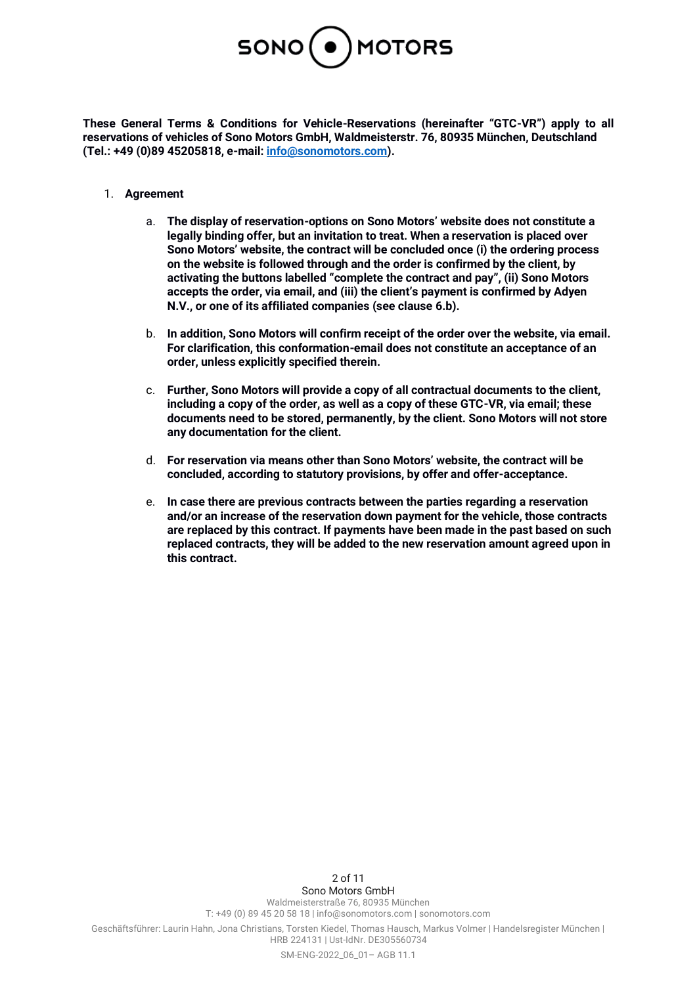

**These General Terms & Conditions for Vehicle-Reservations (hereinafter "GTC-VR") apply to all reservations of vehicles of Sono Motors GmbH, Waldmeisterstr. 76, 80935 München, Deutschland (Tel.: +49 (0)89 45205818, e-mail: [info@sonomotors.com\)](mailto:info@sonomotors.com).**

- 1. **Agreement**
	- a. **The display of reservation-options on Sono Motors' website does not constitute a legally binding offer, but an invitation to treat. When a reservation is placed over Sono Motors' website, the contract will be concluded once (i) the ordering process on the website is followed through and the order is confirmed by the client, by activating the buttons labelled "complete the contract and pay", (ii) Sono Motors accepts the order, via email, and (iii) the client's payment is confirmed by Adyen N.V., or one of its affiliated companies (see clause 6.b).**
	- b. **In addition, Sono Motors will confirm receipt of the order over the website, via email. For clarification, this conformation-email does not constitute an acceptance of an order, unless explicitly specified therein.**
	- c. **Further, Sono Motors will provide a copy of all contractual documents to the client, including a copy of the order, as well as a copy of these GTC-VR, via email; these documents need to be stored, permanently, by the client. Sono Motors will not store any documentation for the client.**
	- d. **For reservation via means other than Sono Motors' website, the contract will be concluded, according to statutory provisions, by offer and offer-acceptance.**
	- e. **In case there are previous contracts between the parties regarding a reservation and/or an increase of the reservation down payment for the vehicle, those contracts are replaced by this contract. If payments have been made in the past based on such replaced contracts, they will be added to the new reservation amount agreed upon in this contract.**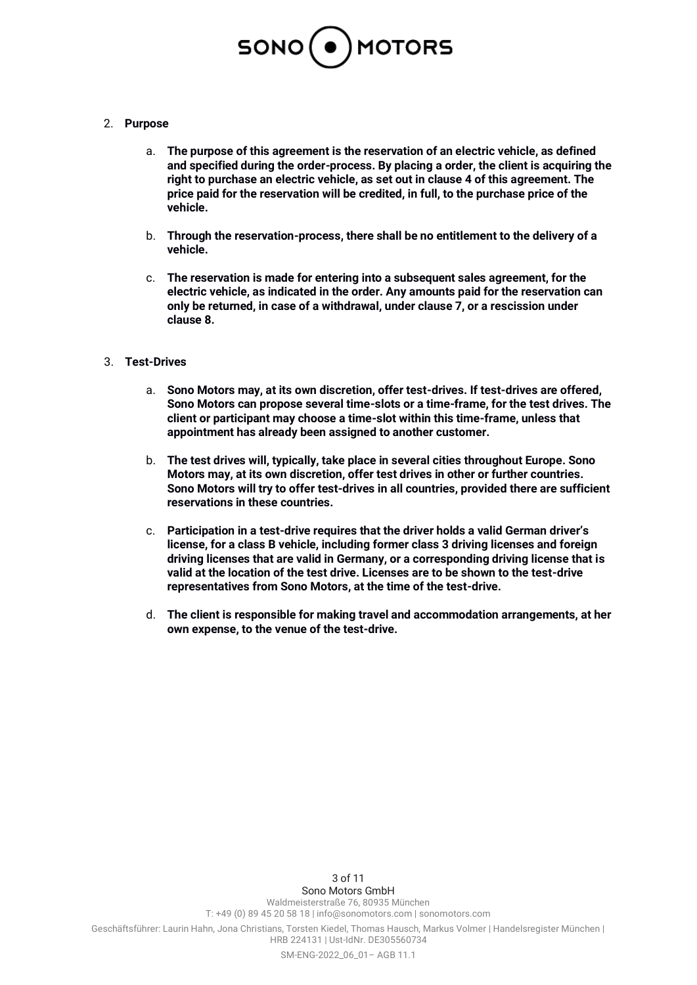

# 2. **Purpose**

- a. **The purpose of this agreement is the reservation of an electric vehicle, as defined and specified during the order-process. By placing a order, the client is acquiring the right to purchase an electric vehicle, as set out in clause 4 of this agreement. The price paid for the reservation will be credited, in full, to the purchase price of the vehicle.**
- b. **Through the reservation-process, there shall be no entitlement to the delivery of a vehicle.**
- c. **The reservation is made for entering into a subsequent sales agreement, for the electric vehicle, as indicated in the order. Any amounts paid for the reservation can only be returned, in case of a withdrawal, under clause 7, or a rescission under clause 8.**

# 3. **Test-Drives**

- a. **Sono Motors may, at its own discretion, offer test-drives. If test-drives are offered, Sono Motors can propose several time-slots or a time-frame, for the test drives. The client or participant may choose a time-slot within this time-frame, unless that appointment has already been assigned to another customer.**
- b. **The test drives will, typically, take place in several cities throughout Europe. Sono Motors may, at its own discretion, offer test drives in other or further countries. Sono Motors will try to offer test-drives in all countries, provided there are sufficient reservations in these countries.**
- c. **Participation in a test-drive requires that the driver holds a valid German driver's license, for a class B vehicle, including former class 3 driving licenses and foreign driving licenses that are valid in Germany, or a corresponding driving license that is valid at the location of the test drive. Licenses are to be shown to the test-drive representatives from Sono Motors, at the time of the test-drive.**
- d. **The client is responsible for making travel and accommodation arrangements, at her own expense, to the venue of the test-drive.**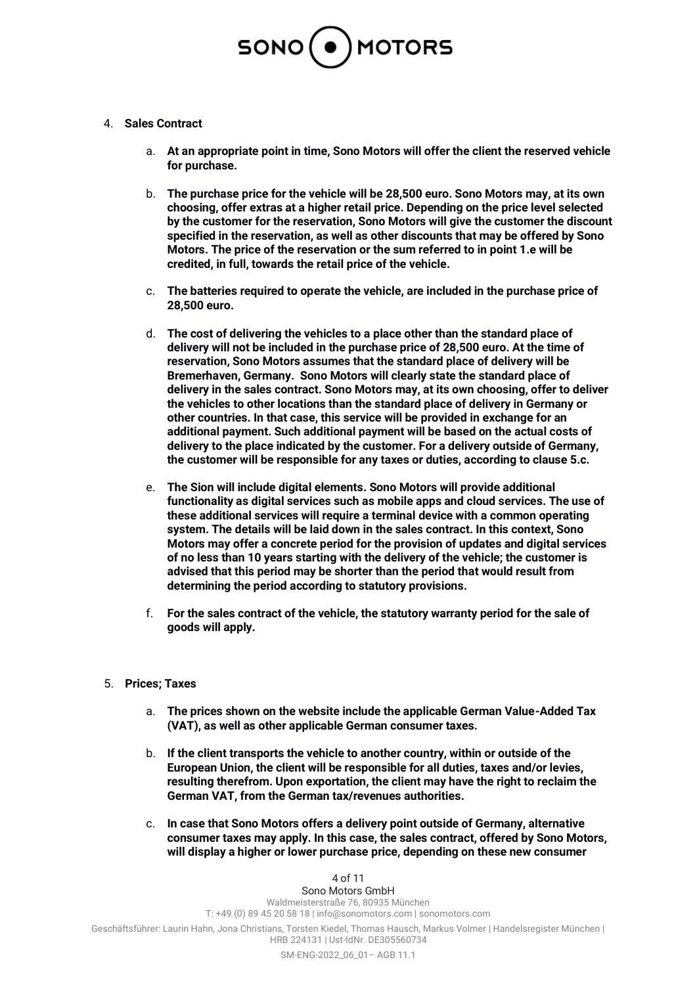

# 4. **Sales Contract**

- a. **At an appropriate point in time, Sono Motors will offer the client the reserved vehicle for purchase.**
- b. **The purchase price for the vehicle will be 28,500 euro. Sono Motors may, at its own choosing, offer extras at a higher retail price. Depending on the price level selected by the customer for the reservation, Sono Motors will give the customer the discount specified in the reservation, as well as other discounts that may be offered by Sono Motors. The price of the reservation or the sum referred to in point 1.e will be credited, in full, towards the retail price of the vehicle.**
- c. **The batteries required to operate the vehicle, are included in the purchase price of 28,500 euro.**
- d. **The cost of delivering the vehicles to a place other than the standard place of delivery will not be included in the purchase price of 28,500 euro. At the time of reservation, Sono Motors assumes that the standard place of delivery will be Bremerhaven, Germany. Sono Motors will clearly state the standard place of delivery in the sales contract. Sono Motors may, at its own choosing, offer to deliver the vehicles to other locations than the standard place of delivery in Germany or other countries. In that case, this service will be provided in exchange for an additional payment. Such additional payment will be based on the actual costs of delivery to the place indicated by the customer. For a delivery outside of Germany, the customer will be responsible for any taxes or duties, according to clause 5.c.**
- e. **The Sion will include digital elements. Sono Motors will provide additional functionality as digital services such as mobile apps and cloud services. The use of these additional services will require a terminal device with a common operating system. The details will be laid down in the sales contract. In this context, Sono Motors may offer a concrete period for the provision of updates and digital services of no less than 10 years starting with the delivery of the vehicle; the customer is advised that this period may be shorter than the period that would result from determining the period according to statutory provisions.**
- f. **For the sales contract of the vehicle, the statutory warranty period for the sale of goods will apply.**

#### 5. **Prices; Taxes**

- a. **The prices shown on the website include the applicable German Value-Added Tax (VAT), as well as other applicable German consumer taxes.**
- b. **If the client transports the vehicle to another country, within or outside of the European Union, the client will be responsible for all duties, taxes and/or levies, resulting therefrom. Upon exportation, the client may have the right to reclaim the German VAT, from the German tax/revenues authorities.**
- c. **In case that Sono Motors offers a delivery point outside of Germany, alternative consumer taxes may apply. In this case, the sales contract, offered by Sono Motors, will display a higher or lower purchase price, depending on these new consumer**

#### 4 of 11

Sono Motors GmbH Waldmeisterstraße 76, 80935 München T: +49 (0) 89 45 20 58 18 | info@sonomotors.com | sonomotors.com Geschäftsführer: Laurin Hahn, Jona Christians, Torsten Kiedel, Thomas Hausch, Markus Volmer | Handelsregister München | HRB 224131 | Ust-IdNr. DE305560734 SM-ENG-2022\_06\_01– AGB 11.1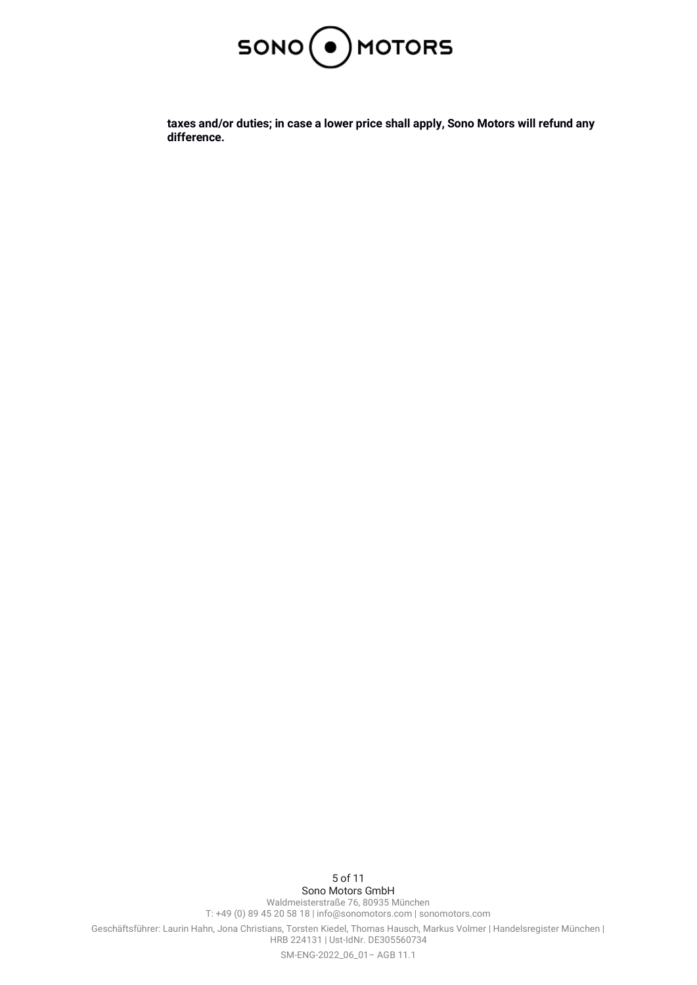

**taxes and/or duties; in case a lower price shall apply, Sono Motors will refund any difference.**

5 of 11 Sono Motors GmbH Waldmeisterstraße 76, 80935 München T: +49 (0) 89 45 20 58 18 | info@sonomotors.com | sonomotors.com Geschäftsführer: Laurin Hahn, Jona Christians, Torsten Kiedel, Thomas Hausch, Markus Volmer | Handelsregister München | HRB 224131 | Ust-IdNr. DE305560734 SM-ENG-2022\_06\_01– AGB 11.1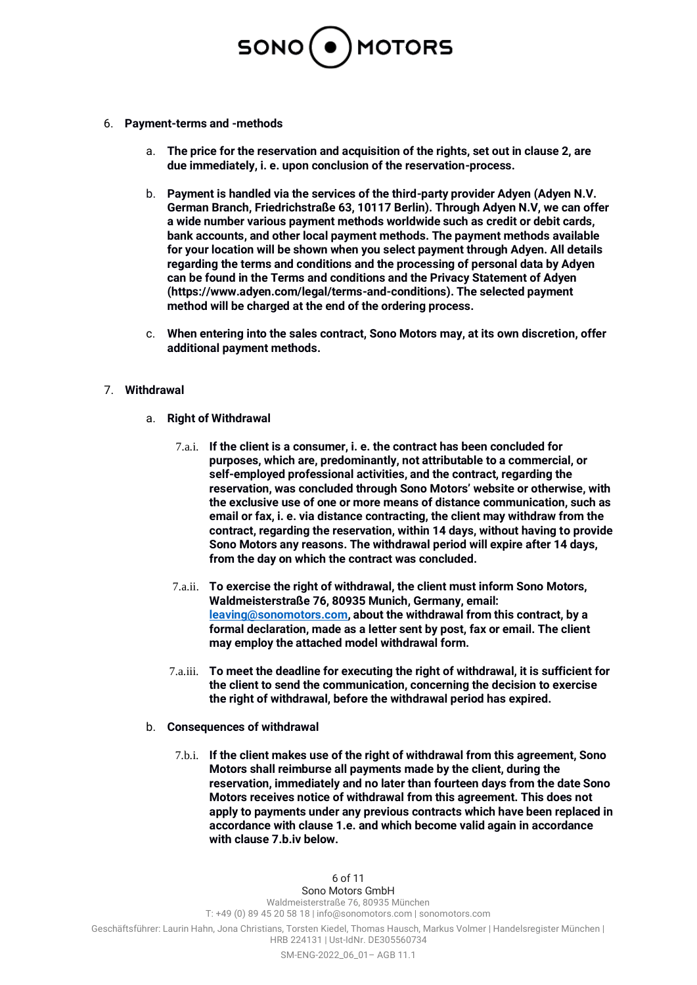

- 6. **Payment-terms and -methods**
	- a. **The price for the reservation and acquisition of the rights, set out in clause 2, are due immediately, i. e. upon conclusion of the reservation-process.**
	- b. **Payment is handled via the services of the third-party provider Adyen (Adyen N.V. German Branch, Friedrichstraße 63, 10117 Berlin). Through Adyen N.V, we can offer a wide number various payment methods worldwide such as credit or debit cards, bank accounts, and other local payment methods. The payment methods available for your location will be shown when you select payment through Adyen. All details regarding the terms and conditions and the processing of personal data by Adyen can be found in the Terms and conditions and the Privacy Statement of Adyen (https://www.adyen.com/legal/terms-and-conditions). The selected payment method will be charged at the end of the ordering process.**
	- c. **When entering into the sales contract, Sono Motors may, at its own discretion, offer additional payment methods.**

# 7. **Withdrawal**

- a. **Right of Withdrawal**
	- 7.a.i. **If the client is a consumer, i. e. the contract has been concluded for purposes, which are, predominantly, not attributable to a commercial, or self-employed professional activities, and the contract, regarding the reservation, was concluded through Sono Motors' website or otherwise, with the exclusive use of one or more means of distance communication, such as email or fax, i. e. via distance contracting, the client may withdraw from the contract, regarding the reservation, within 14 days, without having to provide Sono Motors any reasons. The withdrawal period will expire after 14 days, from the day on which the contract was concluded.**
	- 7.a.ii. **To exercise the right of withdrawal, the client must inform Sono Motors, Waldmeisterstraße 76, 80935 Munich, Germany, email: [leaving@sonomotors.com,](mailto:leaving@sonomotors.com) about the withdrawal from this contract, by a formal declaration, made as a letter sent by post, fax or email. The client may employ the attached model withdrawal form.**
	- 7.a.iii. **To meet the deadline for executing the right of withdrawal, it is sufficient for the client to send the communication, concerning the decision to exercise the right of withdrawal, before the withdrawal period has expired.**
- b. **Consequences of withdrawal**
	- 7.b.i. **If the client makes use of the right of withdrawal from this agreement, Sono Motors shall reimburse all payments made by the client, during the reservation, immediately and no later than fourteen days from the date Sono Motors receives notice of withdrawal from this agreement. This does not apply to payments under any previous contracts which have been replaced in accordance with clause 1.e. and which become valid again in accordance with clause 7.b.iv below.**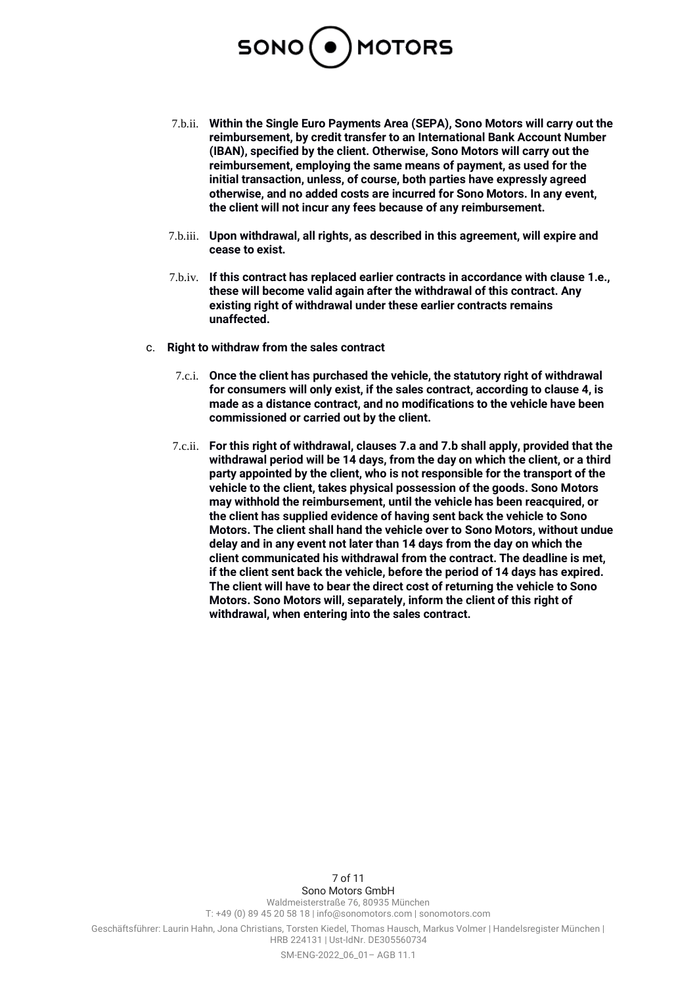

- 7.b.ii. **Within the Single Euro Payments Area (SEPA), Sono Motors will carry out the reimbursement, by credit transfer to an International Bank Account Number (IBAN), specified by the client. Otherwise, Sono Motors will carry out the reimbursement, employing the same means of payment, as used for the initial transaction, unless, of course, both parties have expressly agreed otherwise, and no added costs are incurred for Sono Motors. In any event, the client will not incur any fees because of any reimbursement.**
- 7.b.iii. **Upon withdrawal, all rights, as described in this agreement, will expire and cease to exist.**
- 7.b.iv. **If this contract has replaced earlier contracts in accordance with clause 1.e., these will become valid again after the withdrawal of this contract. Any existing right of withdrawal under these earlier contracts remains unaffected.**
- c. **Right to withdraw from the sales contract**
	- 7.c.i. **Once the client has purchased the vehicle, the statutory right of withdrawal for consumers will only exist, if the sales contract, according to clause 4, is made as a distance contract, and no modifications to the vehicle have been commissioned or carried out by the client.**
	- 7.c.ii. **For this right of withdrawal, clauses 7.a and 7.b shall apply, provided that the withdrawal period will be 14 days, from the day on which the client, or a third party appointed by the client, who is not responsible for the transport of the vehicle to the client, takes physical possession of the goods. Sono Motors may withhold the reimbursement, until the vehicle has been reacquired, or the client has supplied evidence of having sent back the vehicle to Sono Motors. The client shall hand the vehicle over to Sono Motors, without undue delay and in any event not later than 14 days from the day on which the client communicated his withdrawal from the contract. The deadline is met, if the client sent back the vehicle, before the period of 14 days has expired. The client will have to bear the direct cost of returning the vehicle to Sono Motors. Sono Motors will, separately, inform the client of this right of withdrawal, when entering into the sales contract.**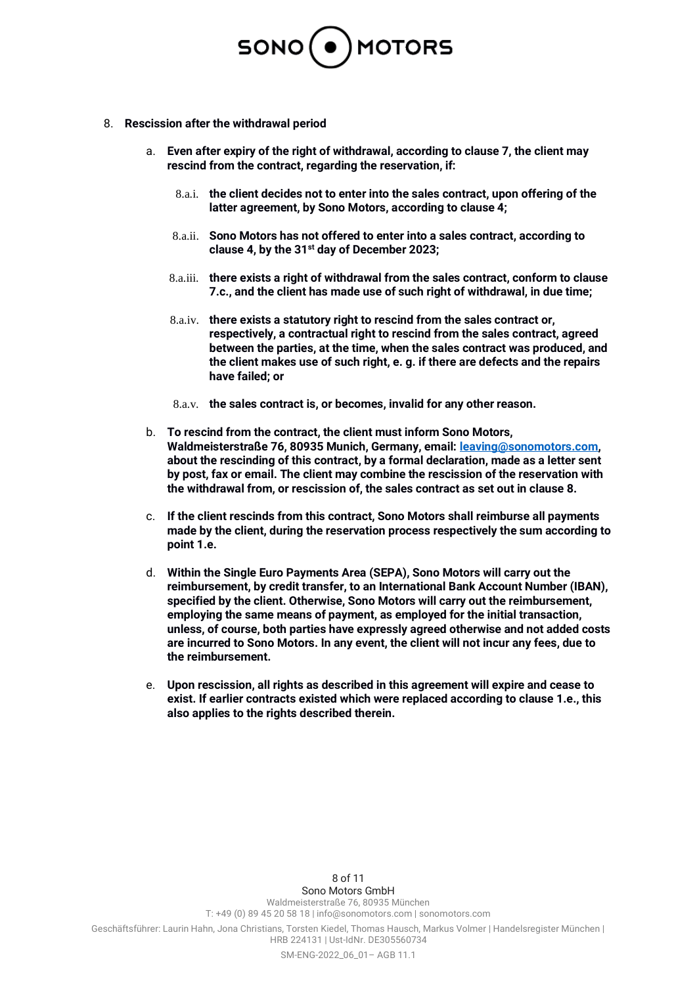

- 8. **Rescission after the withdrawal period**
	- a. **Even after expiry of the right of withdrawal, according to clause 7, the client may rescind from the contract, regarding the reservation, if:**
		- 8.a.i. **the client decides not to enter into the sales contract, upon offering of the latter agreement, by Sono Motors, according to clause 4;**
		- 8.a.ii. **Sono Motors has not offered to enter into a sales contract, according to clause 4, by the 31st day of December 2023;**
		- 8.a.iii. **there exists a right of withdrawal from the sales contract, conform to clause 7.c., and the client has made use of such right of withdrawal, in due time;**
		- 8.a.iv. **there exists a statutory right to rescind from the sales contract or, respectively, a contractual right to rescind from the sales contract, agreed between the parties, at the time, when the sales contract was produced, and the client makes use of such right, e. g. if there are defects and the repairs have failed; or**
		- 8.a.v. **the sales contract is, or becomes, invalid for any other reason.**
	- b. **To rescind from the contract, the client must inform Sono Motors, Waldmeisterstraße 76, 80935 Munich, Germany, email[: leaving@sonomotors.com,](mailto:leaving@sonomotors.com) about the rescinding of this contract, by a formal declaration, made as a letter sent by post, fax or email. The client may combine the rescission of the reservation with the withdrawal from, or rescission of, the sales contract as set out in clause 8.**
	- c. **If the client rescinds from this contract, Sono Motors shall reimburse all payments made by the client, during the reservation process respectively the sum according to point 1.e.**
	- d. **Within the Single Euro Payments Area (SEPA), Sono Motors will carry out the reimbursement, by credit transfer, to an International Bank Account Number (IBAN), specified by the client. Otherwise, Sono Motors will carry out the reimbursement, employing the same means of payment, as employed for the initial transaction, unless, of course, both parties have expressly agreed otherwise and not added costs are incurred to Sono Motors. In any event, the client will not incur any fees, due to the reimbursement.**
	- e. **Upon rescission, all rights as described in this agreement will expire and cease to exist. If earlier contracts existed which were replaced according to clause 1.e., this also applies to the rights described therein.**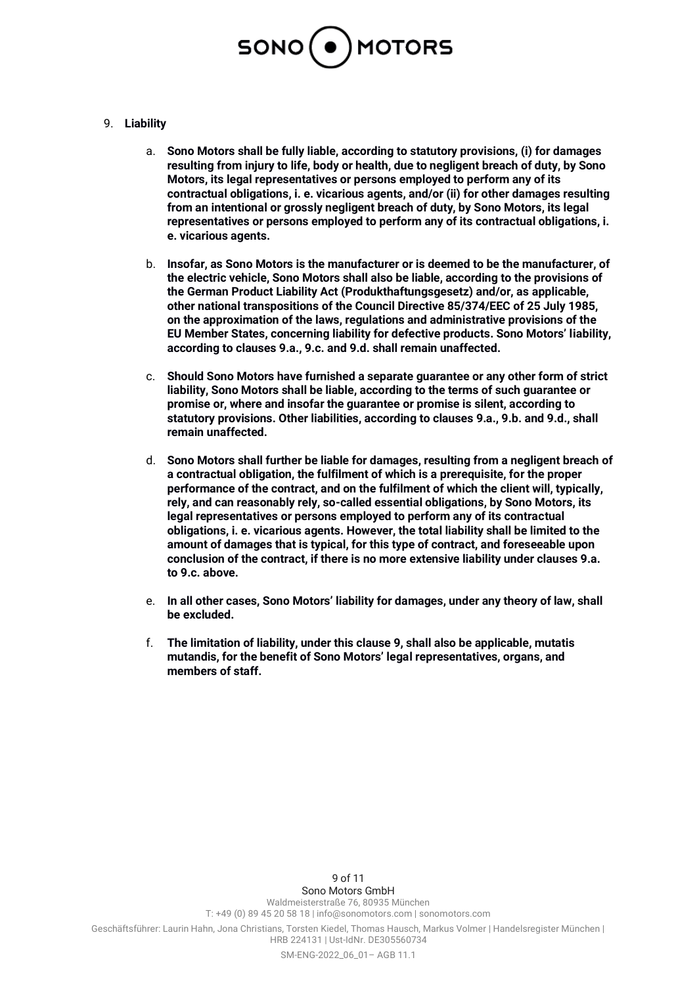

# 9. **Liability**

- a. **Sono Motors shall be fully liable, according to statutory provisions, (i) for damages resulting from injury to life, body or health, due to negligent breach of duty, by Sono Motors, its legal representatives or persons employed to perform any of its contractual obligations, i. e. vicarious agents, and/or (ii) for other damages resulting from an intentional or grossly negligent breach of duty, by Sono Motors, its legal representatives or persons employed to perform any of its contractual obligations, i. e. vicarious agents.**
- b. **Insofar, as Sono Motors is the manufacturer or is deemed to be the manufacturer, of the electric vehicle, Sono Motors shall also be liable, according to the provisions of the German Product Liability Act (Produkthaftungsgesetz) and/or, as applicable, other national transpositions of the Council Directive 85/374/EEC of 25 July 1985, on the approximation of the laws, regulations and administrative provisions of the EU Member States, concerning liability for defective products. Sono Motors' liability, according to clauses 9.a., 9.c. and 9.d. shall remain unaffected.**
- c. **Should Sono Motors have furnished a separate guarantee or any other form of strict liability, Sono Motors shall be liable, according to the terms of such guarantee or promise or, where and insofar the guarantee or promise is silent, according to statutory provisions. Other liabilities, according to clauses 9.a., 9.b. and 9.d., shall remain unaffected.**
- d. **Sono Motors shall further be liable for damages, resulting from a negligent breach of a contractual obligation, the fulfilment of which is a prerequisite, for the proper performance of the contract, and on the fulfilment of which the client will, typically, rely, and can reasonably rely, so-called essential obligations, by Sono Motors, its legal representatives or persons employed to perform any of its contractual obligations, i. e. vicarious agents. However, the total liability shall be limited to the amount of damages that is typical, for this type of contract, and foreseeable upon conclusion of the contract, if there is no more extensive liability under clauses 9.a. to 9.c. above.**
- e. **In all other cases, Sono Motors' liability for damages, under any theory of law, shall be excluded.**
- f. **The limitation of liability, under this clause 9, shall also be applicable, mutatis mutandis, for the benefit of Sono Motors' legal representatives, organs, and members of staff.**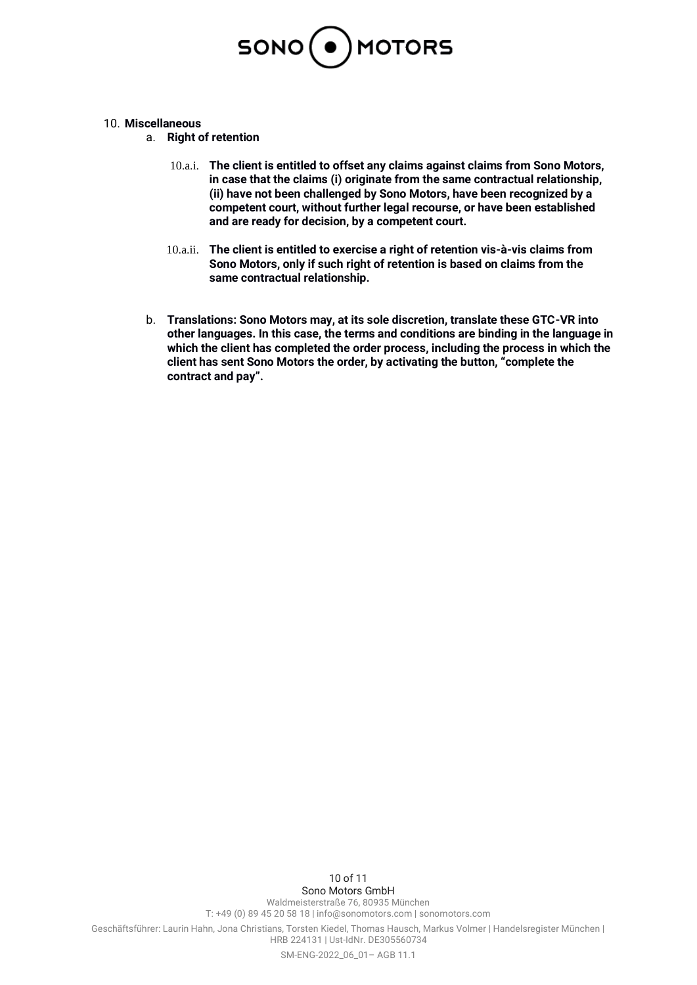

- 10. **Miscellaneous**
	- a. **Right of retention**
		- 10.a.i. **The client is entitled to offset any claims against claims from Sono Motors, in case that the claims (i) originate from the same contractual relationship, (ii) have not been challenged by Sono Motors, have been recognized by a competent court, without further legal recourse, or have been established and are ready for decision, by a competent court.**
		- 10.a.ii. **The client is entitled to exercise a right of retention vis-à-vis claims from Sono Motors, only if such right of retention is based on claims from the same contractual relationship.**
	- b. **Translations: Sono Motors may, at its sole discretion, translate these GTC-VR into other languages. In this case, the terms and conditions are binding in the language in which the client has completed the order process, including the process in which the client has sent Sono Motors the order, by activating the button, "complete the contract and pay".**